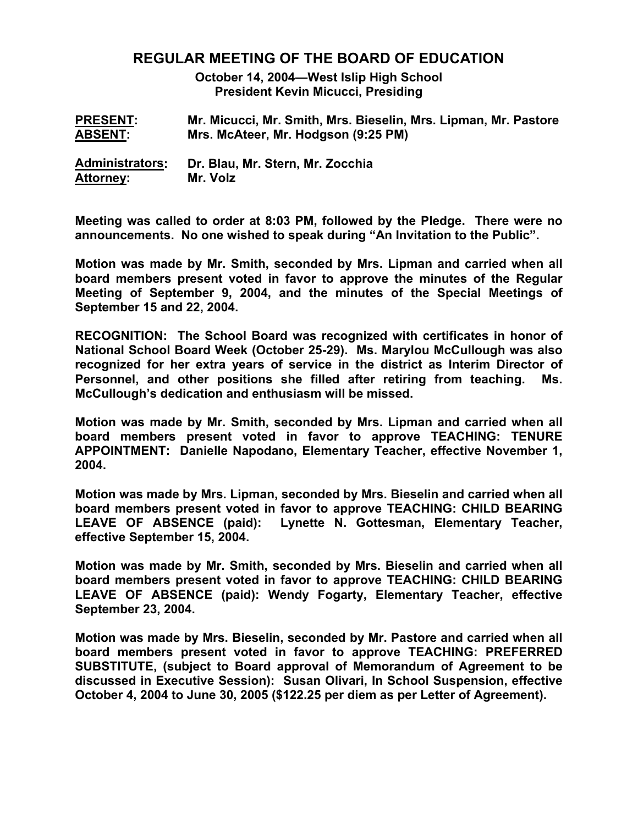# **REGULAR MEETING OF THE BOARD OF EDUCATION**

**October 14, 2004—West Islip High School President Kevin Micucci, Presiding** 

| <b>PRESENT:</b>        | Mr. Micucci, Mr. Smith, Mrs. Bieselin, Mrs. Lipman, Mr. Pastore |
|------------------------|-----------------------------------------------------------------|
| <b>ABSENT:</b>         | Mrs. McAteer, Mr. Hodgson (9:25 PM)                             |
| <b>Administrators:</b> | Dr. Blau, Mr. Stern, Mr. Zocchia                                |
| Attorney:              | Mr. Volz                                                        |

**Meeting was called to order at 8:03 PM, followed by the Pledge. There were no announcements. No one wished to speak during "An Invitation to the Public".** 

**Motion was made by Mr. Smith, seconded by Mrs. Lipman and carried when all board members present voted in favor to approve the minutes of the Regular Meeting of September 9, 2004, and the minutes of the Special Meetings of September 15 and 22, 2004.** 

**RECOGNITION: The School Board was recognized with certificates in honor of National School Board Week (October 25-29). Ms. Marylou McCullough was also recognized for her extra years of service in the district as Interim Director of Personnel, and other positions she filled after retiring from teaching. Ms. McCullough's dedication and enthusiasm will be missed.** 

**Motion was made by Mr. Smith, seconded by Mrs. Lipman and carried when all board members present voted in favor to approve TEACHING: TENURE APPOINTMENT: Danielle Napodano, Elementary Teacher, effective November 1, 2004.** 

**Motion was made by Mrs. Lipman, seconded by Mrs. Bieselin and carried when all board members present voted in favor to approve TEACHING: CHILD BEARING LEAVE OF ABSENCE (paid): Lynette N. Gottesman, Elementary Teacher, effective September 15, 2004.** 

**Motion was made by Mr. Smith, seconded by Mrs. Bieselin and carried when all board members present voted in favor to approve TEACHING: CHILD BEARING LEAVE OF ABSENCE (paid): Wendy Fogarty, Elementary Teacher, effective September 23, 2004.** 

**Motion was made by Mrs. Bieselin, seconded by Mr. Pastore and carried when all board members present voted in favor to approve TEACHING: PREFERRED SUBSTITUTE, (subject to Board approval of Memorandum of Agreement to be discussed in Executive Session): Susan Olivari, In School Suspension, effective October 4, 2004 to June 30, 2005 (\$122.25 per diem as per Letter of Agreement).**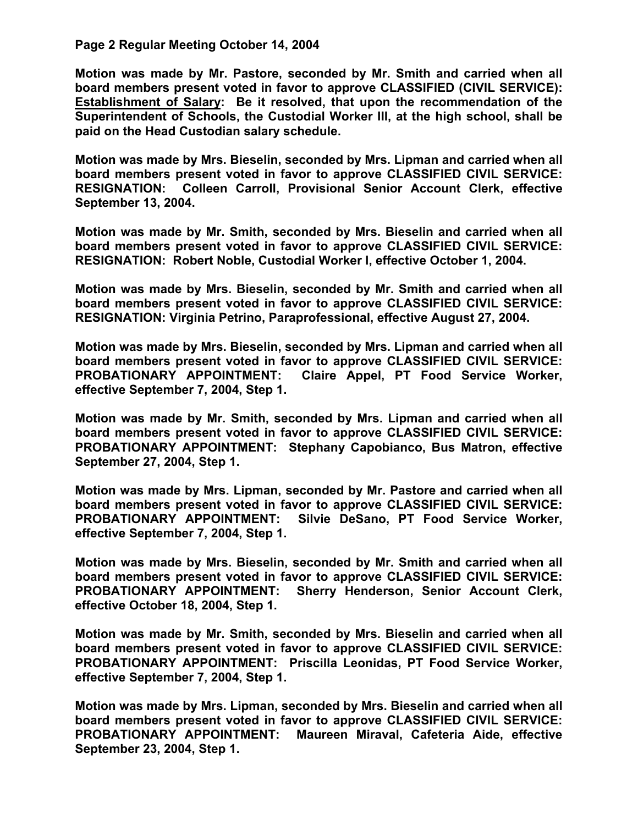## **Page 2 Regular Meeting October 14, 2004**

**Motion was made by Mr. Pastore, seconded by Mr. Smith and carried when all board members present voted in favor to approve CLASSIFIED (CIVIL SERVICE): Establishment of Salary: Be it resolved, that upon the recommendation of the Superintendent of Schools, the Custodial Worker III, at the high school, shall be paid on the Head Custodian salary schedule.** 

**Motion was made by Mrs. Bieselin, seconded by Mrs. Lipman and carried when all board members present voted in favor to approve CLASSIFIED CIVIL SERVICE: RESIGNATION: Colleen Carroll, Provisional Senior Account Clerk, effective September 13, 2004.** 

**Motion was made by Mr. Smith, seconded by Mrs. Bieselin and carried when all board members present voted in favor to approve CLASSIFIED CIVIL SERVICE: RESIGNATION: Robert Noble, Custodial Worker I, effective October 1, 2004.** 

**Motion was made by Mrs. Bieselin, seconded by Mr. Smith and carried when all board members present voted in favor to approve CLASSIFIED CIVIL SERVICE: RESIGNATION: Virginia Petrino, Paraprofessional, effective August 27, 2004.** 

**Motion was made by Mrs. Bieselin, seconded by Mrs. Lipman and carried when all board members present voted in favor to approve CLASSIFIED CIVIL SERVICE: PROBATIONARY APPOINTMENT: Claire Appel, PT Food Service Worker, effective September 7, 2004, Step 1.** 

**Motion was made by Mr. Smith, seconded by Mrs. Lipman and carried when all board members present voted in favor to approve CLASSIFIED CIVIL SERVICE: PROBATIONARY APPOINTMENT: Stephany Capobianco, Bus Matron, effective September 27, 2004, Step 1.** 

**Motion was made by Mrs. Lipman, seconded by Mr. Pastore and carried when all board members present voted in favor to approve CLASSIFIED CIVIL SERVICE: PROBATIONARY APPOINTMENT: Silvie DeSano, PT Food Service Worker, effective September 7, 2004, Step 1.** 

**Motion was made by Mrs. Bieselin, seconded by Mr. Smith and carried when all board members present voted in favor to approve CLASSIFIED CIVIL SERVICE: PROBATIONARY APPOINTMENT: Sherry Henderson, Senior Account Clerk, effective October 18, 2004, Step 1.** 

**Motion was made by Mr. Smith, seconded by Mrs. Bieselin and carried when all board members present voted in favor to approve CLASSIFIED CIVIL SERVICE: PROBATIONARY APPOINTMENT: Priscilla Leonidas, PT Food Service Worker, effective September 7, 2004, Step 1.** 

**Motion was made by Mrs. Lipman, seconded by Mrs. Bieselin and carried when all board members present voted in favor to approve CLASSIFIED CIVIL SERVICE: PROBATIONARY APPOINTMENT: Maureen Miraval, Cafeteria Aide, effective September 23, 2004, Step 1.**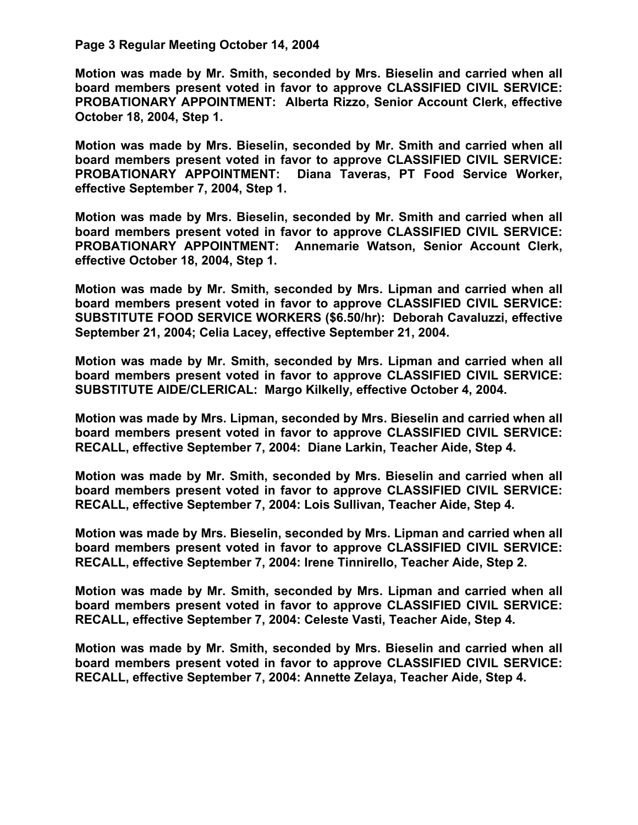#### **Page 3 Regular Meeting October 14, 2004**

**Motion was made by Mr. Smith, seconded by Mrs. Bieselin and carried when all board members present voted in favor to approve CLASSIFIED CIVIL SERVICE: PROBATIONARY APPOINTMENT: Alberta Rizzo, Senior Account Clerk, effective October 18, 2004, Step 1.** 

**Motion was made by Mrs. Bieselin, seconded by Mr. Smith and carried when all board members present voted in favor to approve CLASSIFIED CIVIL SERVICE: PROBATIONARY APPOINTMENT: Diana Taveras, PT Food Service Worker, effective September 7, 2004, Step 1.** 

**Motion was made by Mrs. Bieselin, seconded by Mr. Smith and carried when all board members present voted in favor to approve CLASSIFIED CIVIL SERVICE: PROBATIONARY APPOINTMENT: Annemarie Watson, Senior Account Clerk, effective October 18, 2004, Step 1.** 

**Motion was made by Mr. Smith, seconded by Mrs. Lipman and carried when all board members present voted in favor to approve CLASSIFIED CIVIL SERVICE: SUBSTITUTE FOOD SERVICE WORKERS (\$6.50/hr): Deborah Cavaluzzi, effective September 21, 2004; Celia Lacey, effective September 21, 2004.** 

**Motion was made by Mr. Smith, seconded by Mrs. Lipman and carried when all board members present voted in favor to approve CLASSIFIED CIVIL SERVICE: SUBSTITUTE AIDE/CLERICAL: Margo Kilkelly, effective October 4, 2004.** 

**Motion was made by Mrs. Lipman, seconded by Mrs. Bieselin and carried when all board members present voted in favor to approve CLASSIFIED CIVIL SERVICE: RECALL, effective September 7, 2004: Diane Larkin, Teacher Aide, Step 4.** 

**Motion was made by Mr. Smith, seconded by Mrs. Bieselin and carried when all board members present voted in favor to approve CLASSIFIED CIVIL SERVICE: RECALL, effective September 7, 2004: Lois Sullivan, Teacher Aide, Step 4.** 

**Motion was made by Mrs. Bieselin, seconded by Mrs. Lipman and carried when all board members present voted in favor to approve CLASSIFIED CIVIL SERVICE: RECALL, effective September 7, 2004: Irene Tinnirello, Teacher Aide, Step 2.** 

**Motion was made by Mr. Smith, seconded by Mrs. Lipman and carried when all board members present voted in favor to approve CLASSIFIED CIVIL SERVICE: RECALL, effective September 7, 2004: Celeste Vasti, Teacher Aide, Step 4.** 

**Motion was made by Mr. Smith, seconded by Mrs. Bieselin and carried when all board members present voted in favor to approve CLASSIFIED CIVIL SERVICE: RECALL, effective September 7, 2004: Annette Zelaya, Teacher Aide, Step 4.**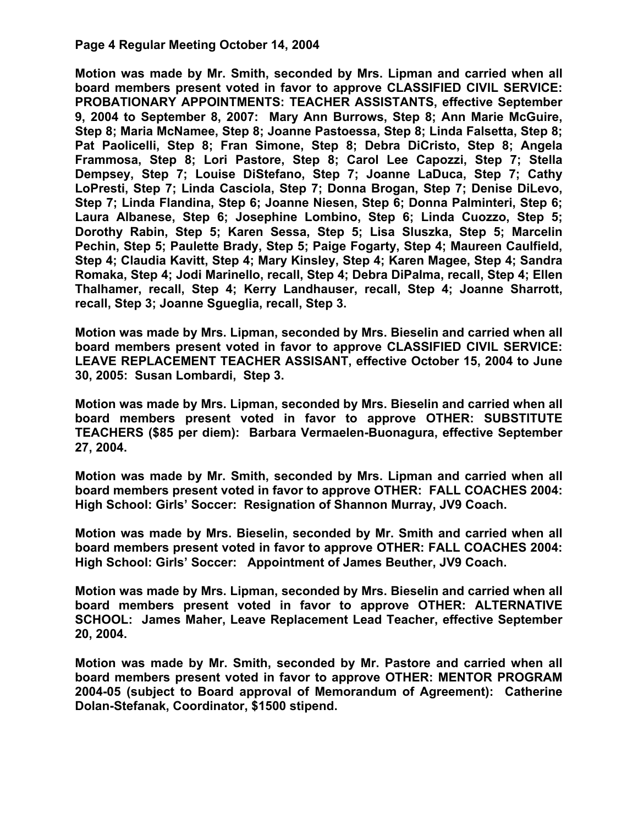# **Page 4 Regular Meeting October 14, 2004**

**Motion was made by Mr. Smith, seconded by Mrs. Lipman and carried when all board members present voted in favor to approve CLASSIFIED CIVIL SERVICE: PROBATIONARY APPOINTMENTS: TEACHER ASSISTANTS, effective September 9, 2004 to September 8, 2007: Mary Ann Burrows, Step 8; Ann Marie McGuire, Step 8; Maria McNamee, Step 8; Joanne Pastoessa, Step 8; Linda Falsetta, Step 8; Pat Paolicelli, Step 8; Fran Simone, Step 8; Debra DiCristo, Step 8; Angela Frammosa, Step 8; Lori Pastore, Step 8; Carol Lee Capozzi, Step 7; Stella Dempsey, Step 7; Louise DiStefano, Step 7; Joanne LaDuca, Step 7; Cathy LoPresti, Step 7; Linda Casciola, Step 7; Donna Brogan, Step 7; Denise DiLevo, Step 7; Linda Flandina, Step 6; Joanne Niesen, Step 6; Donna Palminteri, Step 6; Laura Albanese, Step 6; Josephine Lombino, Step 6; Linda Cuozzo, Step 5; Dorothy Rabin, Step 5; Karen Sessa, Step 5; Lisa Sluszka, Step 5; Marcelin Pechin, Step 5; Paulette Brady, Step 5; Paige Fogarty, Step 4; Maureen Caulfield, Step 4; Claudia Kavitt, Step 4; Mary Kinsley, Step 4; Karen Magee, Step 4; Sandra Romaka, Step 4; Jodi Marinello, recall, Step 4; Debra DiPalma, recall, Step 4; Ellen Thalhamer, recall, Step 4; Kerry Landhauser, recall, Step 4; Joanne Sharrott, recall, Step 3; Joanne Sgueglia, recall, Step 3.** 

**Motion was made by Mrs. Lipman, seconded by Mrs. Bieselin and carried when all board members present voted in favor to approve CLASSIFIED CIVIL SERVICE: LEAVE REPLACEMENT TEACHER ASSISANT, effective October 15, 2004 to June 30, 2005: Susan Lombardi, Step 3.** 

**Motion was made by Mrs. Lipman, seconded by Mrs. Bieselin and carried when all board members present voted in favor to approve OTHER: SUBSTITUTE TEACHERS (\$85 per diem): Barbara Vermaelen-Buonagura, effective September 27, 2004.** 

**Motion was made by Mr. Smith, seconded by Mrs. Lipman and carried when all board members present voted in favor to approve OTHER: FALL COACHES 2004: High School: Girls' Soccer: Resignation of Shannon Murray, JV9 Coach.** 

**Motion was made by Mrs. Bieselin, seconded by Mr. Smith and carried when all board members present voted in favor to approve OTHER: FALL COACHES 2004: High School: Girls' Soccer: Appointment of James Beuther, JV9 Coach.** 

**Motion was made by Mrs. Lipman, seconded by Mrs. Bieselin and carried when all board members present voted in favor to approve OTHER: ALTERNATIVE SCHOOL: James Maher, Leave Replacement Lead Teacher, effective September 20, 2004.** 

**Motion was made by Mr. Smith, seconded by Mr. Pastore and carried when all board members present voted in favor to approve OTHER: MENTOR PROGRAM 2004-05 (subject to Board approval of Memorandum of Agreement): Catherine Dolan-Stefanak, Coordinator, \$1500 stipend.**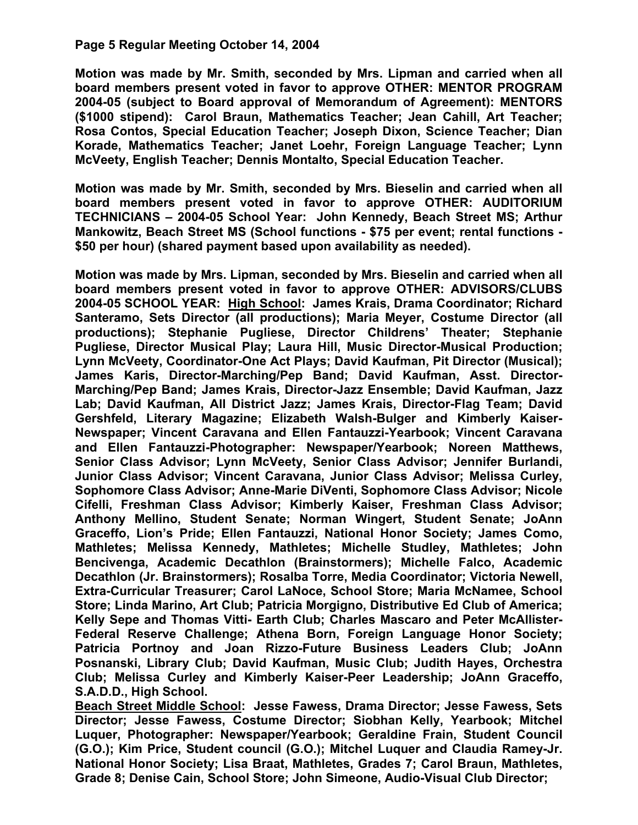# **Page 5 Regular Meeting October 14, 2004**

**Motion was made by Mr. Smith, seconded by Mrs. Lipman and carried when all board members present voted in favor to approve OTHER: MENTOR PROGRAM 2004-05 (subject to Board approval of Memorandum of Agreement): MENTORS (\$1000 stipend): Carol Braun, Mathematics Teacher; Jean Cahill, Art Teacher; Rosa Contos, Special Education Teacher; Joseph Dixon, Science Teacher; Dian Korade, Mathematics Teacher; Janet Loehr, Foreign Language Teacher; Lynn McVeety, English Teacher; Dennis Montalto, Special Education Teacher.** 

**Motion was made by Mr. Smith, seconded by Mrs. Bieselin and carried when all board members present voted in favor to approve OTHER: AUDITORIUM TECHNICIANS – 2004-05 School Year: John Kennedy, Beach Street MS; Arthur Mankowitz, Beach Street MS (School functions - \$75 per event; rental functions - \$50 per hour) (shared payment based upon availability as needed).** 

**Motion was made by Mrs. Lipman, seconded by Mrs. Bieselin and carried when all board members present voted in favor to approve OTHER: ADVISORS/CLUBS 2004-05 SCHOOL YEAR: High School: James Krais, Drama Coordinator; Richard Santeramo, Sets Director (all productions); Maria Meyer, Costume Director (all productions); Stephanie Pugliese, Director Childrens' Theater; Stephanie Pugliese, Director Musical Play; Laura Hill, Music Director-Musical Production; Lynn McVeety, Coordinator-One Act Plays; David Kaufman, Pit Director (Musical); James Karis, Director-Marching/Pep Band; David Kaufman, Asst. Director-Marching/Pep Band; James Krais, Director-Jazz Ensemble; David Kaufman, Jazz Lab; David Kaufman, All District Jazz; James Krais, Director-Flag Team; David Gershfeld, Literary Magazine; Elizabeth Walsh-Bulger and Kimberly Kaiser-Newspaper; Vincent Caravana and Ellen Fantauzzi-Yearbook; Vincent Caravana and Ellen Fantauzzi-Photographer: Newspaper/Yearbook; Noreen Matthews, Senior Class Advisor; Lynn McVeety, Senior Class Advisor; Jennifer Burlandi, Junior Class Advisor; Vincent Caravana, Junior Class Advisor; Melissa Curley, Sophomore Class Advisor; Anne-Marie DiVenti, Sophomore Class Advisor; Nicole Cifelli, Freshman Class Advisor; Kimberly Kaiser, Freshman Class Advisor; Anthony Mellino, Student Senate; Norman Wingert, Student Senate; JoAnn Graceffo, Lion's Pride; Ellen Fantauzzi, National Honor Society; James Como, Mathletes; Melissa Kennedy, Mathletes; Michelle Studley, Mathletes; John Bencivenga, Academic Decathlon (Brainstormers); Michelle Falco, Academic Decathlon (Jr. Brainstormers); Rosalba Torre, Media Coordinator; Victoria Newell, Extra-Curricular Treasurer; Carol LaNoce, School Store; Maria McNamee, School Store; Linda Marino, Art Club; Patricia Morgigno, Distributive Ed Club of America; Kelly Sepe and Thomas Vitti- Earth Club; Charles Mascaro and Peter McAllister-Federal Reserve Challenge; Athena Born, Foreign Language Honor Society; Patricia Portnoy and Joan Rizzo-Future Business Leaders Club; JoAnn Posnanski, Library Club; David Kaufman, Music Club; Judith Hayes, Orchestra Club; Melissa Curley and Kimberly Kaiser-Peer Leadership; JoAnn Graceffo, S.A.D.D., High School.** 

**Beach Street Middle School: Jesse Fawess, Drama Director; Jesse Fawess, Sets Director; Jesse Fawess, Costume Director; Siobhan Kelly, Yearbook; Mitchel Luquer, Photographer: Newspaper/Yearbook; Geraldine Frain, Student Council (G.O.); Kim Price, Student council (G.O.); Mitchel Luquer and Claudia Ramey-Jr. National Honor Society; Lisa Braat, Mathletes, Grades 7; Carol Braun, Mathletes, Grade 8; Denise Cain, School Store; John Simeone, Audio-Visual Club Director;**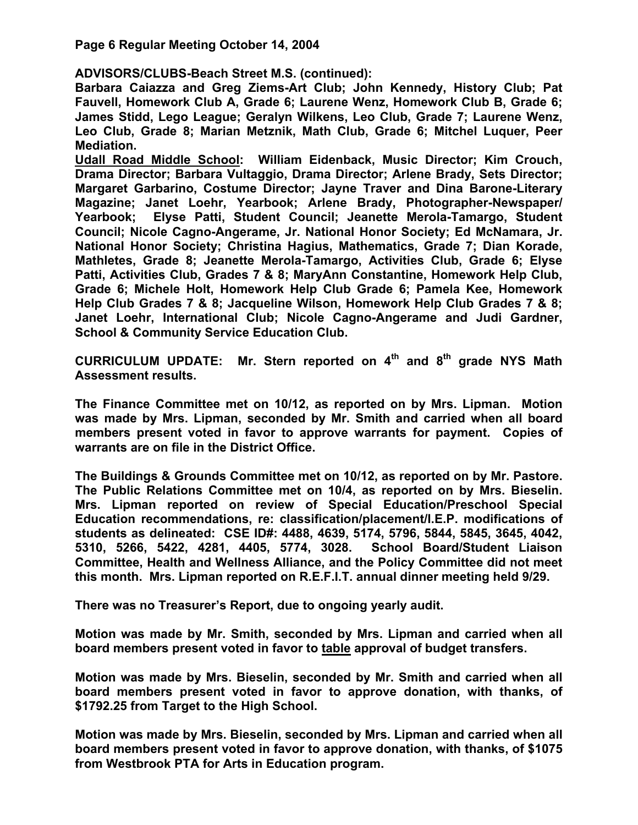**Page 6 Regular Meeting October 14, 2004** 

**ADVISORS/CLUBS-Beach Street M.S. (continued):** 

**Barbara Caiazza and Greg Ziems-Art Club; John Kennedy, History Club; Pat Fauvell, Homework Club A, Grade 6; Laurene Wenz, Homework Club B, Grade 6; James Stidd, Lego League; Geralyn Wilkens, Leo Club, Grade 7; Laurene Wenz, Leo Club, Grade 8; Marian Metznik, Math Club, Grade 6; Mitchel Luquer, Peer Mediation.** 

**Udall Road Middle School: William Eidenback, Music Director; Kim Crouch, Drama Director; Barbara Vultaggio, Drama Director; Arlene Brady, Sets Director; Margaret Garbarino, Costume Director; Jayne Traver and Dina Barone-Literary Magazine; Janet Loehr, Yearbook; Arlene Brady, Photographer-Newspaper/ Yearbook; Elyse Patti, Student Council; Jeanette Merola-Tamargo, Student Council; Nicole Cagno-Angerame, Jr. National Honor Society; Ed McNamara, Jr. National Honor Society; Christina Hagius, Mathematics, Grade 7; Dian Korade, Mathletes, Grade 8; Jeanette Merola-Tamargo, Activities Club, Grade 6; Elyse Patti, Activities Club, Grades 7 & 8; MaryAnn Constantine, Homework Help Club, Grade 6; Michele Holt, Homework Help Club Grade 6; Pamela Kee, Homework Help Club Grades 7 & 8; Jacqueline Wilson, Homework Help Club Grades 7 & 8; Janet Loehr, International Club; Nicole Cagno-Angerame and Judi Gardner, School & Community Service Education Club.** 

**CURRICULUM UPDATE: Mr. Stern reported on 4th and 8th grade NYS Math Assessment results.** 

**The Finance Committee met on 10/12, as reported on by Mrs. Lipman. Motion was made by Mrs. Lipman, seconded by Mr. Smith and carried when all board members present voted in favor to approve warrants for payment. Copies of warrants are on file in the District Office.** 

**The Buildings & Grounds Committee met on 10/12, as reported on by Mr. Pastore. The Public Relations Committee met on 10/4, as reported on by Mrs. Bieselin. Mrs. Lipman reported on review of Special Education/Preschool Special Education recommendations, re: classification/placement/I.E.P. modifications of students as delineated: CSE ID#: 4488, 4639, 5174, 5796, 5844, 5845, 3645, 4042, 5310, 5266, 5422, 4281, 4405, 5774, 3028. School Board/Student Liaison Committee, Health and Wellness Alliance, and the Policy Committee did not meet this month. Mrs. Lipman reported on R.E.F.I.T. annual dinner meeting held 9/29.** 

**There was no Treasurer's Report, due to ongoing yearly audit.** 

**Motion was made by Mr. Smith, seconded by Mrs. Lipman and carried when all board members present voted in favor to table approval of budget transfers.** 

**Motion was made by Mrs. Bieselin, seconded by Mr. Smith and carried when all board members present voted in favor to approve donation, with thanks, of \$1792.25 from Target to the High School.** 

**Motion was made by Mrs. Bieselin, seconded by Mrs. Lipman and carried when all board members present voted in favor to approve donation, with thanks, of \$1075 from Westbrook PTA for Arts in Education program.**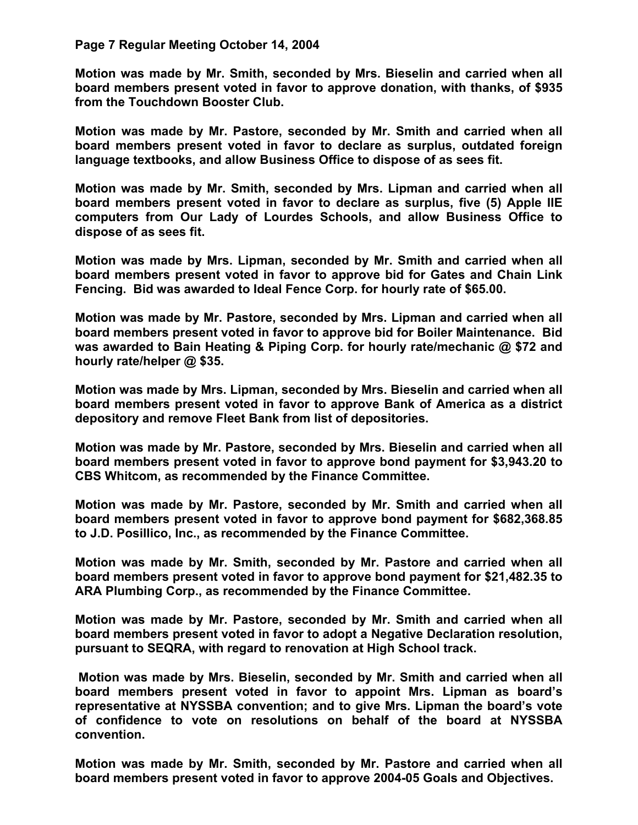## **Page 7 Regular Meeting October 14, 2004**

**Motion was made by Mr. Smith, seconded by Mrs. Bieselin and carried when all board members present voted in favor to approve donation, with thanks, of \$935 from the Touchdown Booster Club.** 

**Motion was made by Mr. Pastore, seconded by Mr. Smith and carried when all board members present voted in favor to declare as surplus, outdated foreign language textbooks, and allow Business Office to dispose of as sees fit.** 

**Motion was made by Mr. Smith, seconded by Mrs. Lipman and carried when all board members present voted in favor to declare as surplus, five (5) Apple IIE computers from Our Lady of Lourdes Schools, and allow Business Office to dispose of as sees fit.** 

**Motion was made by Mrs. Lipman, seconded by Mr. Smith and carried when all board members present voted in favor to approve bid for Gates and Chain Link Fencing. Bid was awarded to Ideal Fence Corp. for hourly rate of \$65.00.** 

**Motion was made by Mr. Pastore, seconded by Mrs. Lipman and carried when all board members present voted in favor to approve bid for Boiler Maintenance. Bid was awarded to Bain Heating & Piping Corp. for hourly rate/mechanic @ \$72 and hourly rate/helper @ \$35.** 

**Motion was made by Mrs. Lipman, seconded by Mrs. Bieselin and carried when all board members present voted in favor to approve Bank of America as a district depository and remove Fleet Bank from list of depositories.** 

**Motion was made by Mr. Pastore, seconded by Mrs. Bieselin and carried when all board members present voted in favor to approve bond payment for \$3,943.20 to CBS Whitcom, as recommended by the Finance Committee.** 

**Motion was made by Mr. Pastore, seconded by Mr. Smith and carried when all board members present voted in favor to approve bond payment for \$682,368.85 to J.D. Posillico, Inc., as recommended by the Finance Committee.** 

**Motion was made by Mr. Smith, seconded by Mr. Pastore and carried when all board members present voted in favor to approve bond payment for \$21,482.35 to ARA Plumbing Corp., as recommended by the Finance Committee.** 

**Motion was made by Mr. Pastore, seconded by Mr. Smith and carried when all board members present voted in favor to adopt a Negative Declaration resolution, pursuant to SEQRA, with regard to renovation at High School track.** 

 **Motion was made by Mrs. Bieselin, seconded by Mr. Smith and carried when all board members present voted in favor to appoint Mrs. Lipman as board's representative at NYSSBA convention; and to give Mrs. Lipman the board's vote of confidence to vote on resolutions on behalf of the board at NYSSBA convention.** 

**Motion was made by Mr. Smith, seconded by Mr. Pastore and carried when all board members present voted in favor to approve 2004-05 Goals and Objectives.**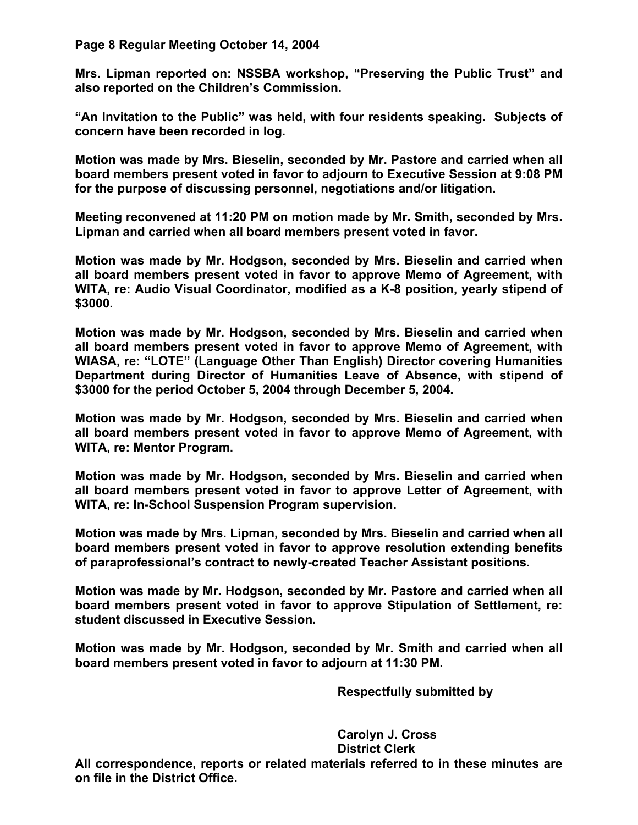**Page 8 Regular Meeting October 14, 2004** 

**Mrs. Lipman reported on: NSSBA workshop, "Preserving the Public Trust" and also reported on the Children's Commission.** 

**"An Invitation to the Public" was held, with four residents speaking. Subjects of concern have been recorded in log.** 

**Motion was made by Mrs. Bieselin, seconded by Mr. Pastore and carried when all board members present voted in favor to adjourn to Executive Session at 9:08 PM for the purpose of discussing personnel, negotiations and/or litigation.** 

**Meeting reconvened at 11:20 PM on motion made by Mr. Smith, seconded by Mrs. Lipman and carried when all board members present voted in favor.** 

**Motion was made by Mr. Hodgson, seconded by Mrs. Bieselin and carried when all board members present voted in favor to approve Memo of Agreement, with WITA, re: Audio Visual Coordinator, modified as a K-8 position, yearly stipend of \$3000.** 

**Motion was made by Mr. Hodgson, seconded by Mrs. Bieselin and carried when all board members present voted in favor to approve Memo of Agreement, with WIASA, re: "LOTE" (Language Other Than English) Director covering Humanities Department during Director of Humanities Leave of Absence, with stipend of \$3000 for the period October 5, 2004 through December 5, 2004.** 

**Motion was made by Mr. Hodgson, seconded by Mrs. Bieselin and carried when all board members present voted in favor to approve Memo of Agreement, with WITA, re: Mentor Program.** 

**Motion was made by Mr. Hodgson, seconded by Mrs. Bieselin and carried when all board members present voted in favor to approve Letter of Agreement, with WITA, re: In-School Suspension Program supervision.** 

**Motion was made by Mrs. Lipman, seconded by Mrs. Bieselin and carried when all board members present voted in favor to approve resolution extending benefits of paraprofessional's contract to newly-created Teacher Assistant positions.** 

**Motion was made by Mr. Hodgson, seconded by Mr. Pastore and carried when all board members present voted in favor to approve Stipulation of Settlement, re: student discussed in Executive Session.** 

**Motion was made by Mr. Hodgson, seconded by Mr. Smith and carried when all board members present voted in favor to adjourn at 11:30 PM.** 

 **Respectfully submitted by** 

 **Carolyn J. Cross District Clerk** 

**All correspondence, reports or related materials referred to in these minutes are on file in the District Office.**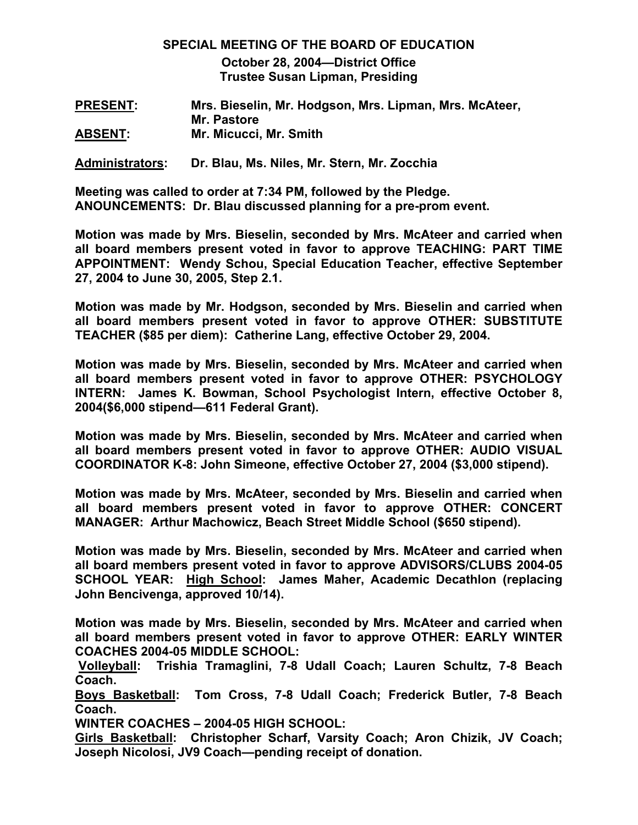# **SPECIAL MEETING OF THE BOARD OF EDUCATION October 28, 2004—District Office Trustee Susan Lipman, Presiding**

**PRESENT: Mrs. Bieselin, Mr. Hodgson, Mrs. Lipman, Mrs. McAteer, Mr. Pastore ABSENT: Mr. Micucci, Mr. Smith** 

**Administrators: Dr. Blau, Ms. Niles, Mr. Stern, Mr. Zocchia** 

**Meeting was called to order at 7:34 PM, followed by the Pledge. ANOUNCEMENTS: Dr. Blau discussed planning for a pre-prom event.** 

**Motion was made by Mrs. Bieselin, seconded by Mrs. McAteer and carried when all board members present voted in favor to approve TEACHING: PART TIME APPOINTMENT: Wendy Schou, Special Education Teacher, effective September 27, 2004 to June 30, 2005, Step 2.1.** 

**Motion was made by Mr. Hodgson, seconded by Mrs. Bieselin and carried when all board members present voted in favor to approve OTHER: SUBSTITUTE TEACHER (\$85 per diem): Catherine Lang, effective October 29, 2004.** 

**Motion was made by Mrs. Bieselin, seconded by Mrs. McAteer and carried when all board members present voted in favor to approve OTHER: PSYCHOLOGY INTERN: James K. Bowman, School Psychologist Intern, effective October 8, 2004(\$6,000 stipend—611 Federal Grant).** 

**Motion was made by Mrs. Bieselin, seconded by Mrs. McAteer and carried when all board members present voted in favor to approve OTHER: AUDIO VISUAL COORDINATOR K-8: John Simeone, effective October 27, 2004 (\$3,000 stipend).** 

**Motion was made by Mrs. McAteer, seconded by Mrs. Bieselin and carried when all board members present voted in favor to approve OTHER: CONCERT MANAGER: Arthur Machowicz, Beach Street Middle School (\$650 stipend).** 

**Motion was made by Mrs. Bieselin, seconded by Mrs. McAteer and carried when all board members present voted in favor to approve ADVISORS/CLUBS 2004-05 SCHOOL YEAR: High School: James Maher, Academic Decathlon (replacing John Bencivenga, approved 10/14).** 

**Motion was made by Mrs. Bieselin, seconded by Mrs. McAteer and carried when all board members present voted in favor to approve OTHER: EARLY WINTER COACHES 2004-05 MIDDLE SCHOOL:** 

 **Volleyball: Trishia Tramaglini, 7-8 Udall Coach; Lauren Schultz, 7-8 Beach Coach.** 

**Boys Basketball: Tom Cross, 7-8 Udall Coach; Frederick Butler, 7-8 Beach Coach.** 

**WINTER COACHES – 2004-05 HIGH SCHOOL:** 

**Girls Basketball: Christopher Scharf, Varsity Coach; Aron Chizik, JV Coach; Joseph Nicolosi, JV9 Coach—pending receipt of donation.**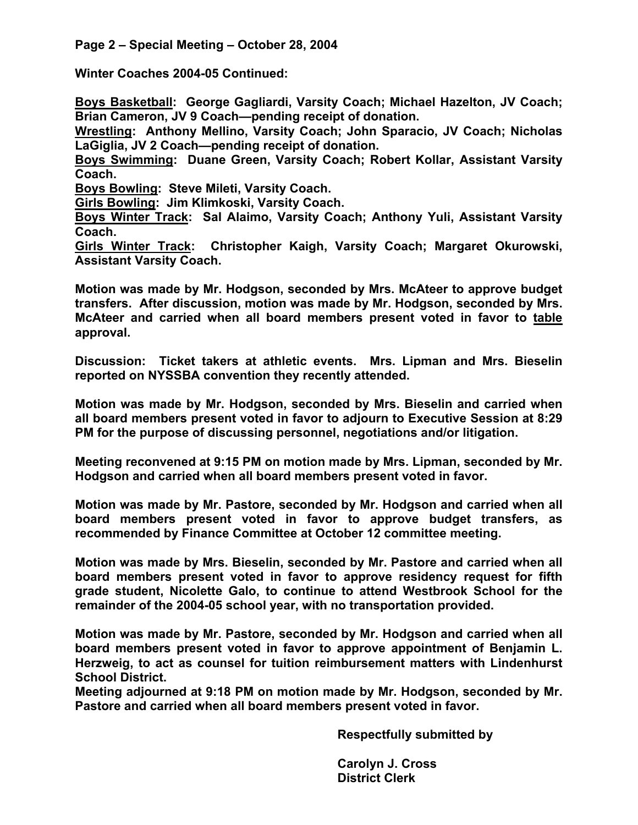**Winter Coaches 2004-05 Continued:** 

**Boys Basketball: George Gagliardi, Varsity Coach; Michael Hazelton, JV Coach; Brian Cameron, JV 9 Coach—pending receipt of donation.** 

**Wrestling: Anthony Mellino, Varsity Coach; John Sparacio, JV Coach; Nicholas LaGiglia, JV 2 Coach—pending receipt of donation.** 

**Boys Swimming: Duane Green, Varsity Coach; Robert Kollar, Assistant Varsity Coach.** 

**Boys Bowling: Steve Mileti, Varsity Coach.** 

**Girls Bowling: Jim Klimkoski, Varsity Coach.** 

**Boys Winter Track: Sal Alaimo, Varsity Coach; Anthony Yuli, Assistant Varsity Coach.** 

**Girls Winter Track: Christopher Kaigh, Varsity Coach; Margaret Okurowski, Assistant Varsity Coach.** 

**Motion was made by Mr. Hodgson, seconded by Mrs. McAteer to approve budget transfers. After discussion, motion was made by Mr. Hodgson, seconded by Mrs. McAteer and carried when all board members present voted in favor to table approval.** 

**Discussion: Ticket takers at athletic events. Mrs. Lipman and Mrs. Bieselin reported on NYSSBA convention they recently attended.** 

**Motion was made by Mr. Hodgson, seconded by Mrs. Bieselin and carried when all board members present voted in favor to adjourn to Executive Session at 8:29 PM for the purpose of discussing personnel, negotiations and/or litigation.** 

**Meeting reconvened at 9:15 PM on motion made by Mrs. Lipman, seconded by Mr. Hodgson and carried when all board members present voted in favor.** 

**Motion was made by Mr. Pastore, seconded by Mr. Hodgson and carried when all board members present voted in favor to approve budget transfers, as recommended by Finance Committee at October 12 committee meeting.** 

**Motion was made by Mrs. Bieselin, seconded by Mr. Pastore and carried when all board members present voted in favor to approve residency request for fifth grade student, Nicolette Galo, to continue to attend Westbrook School for the remainder of the 2004-05 school year, with no transportation provided.** 

**Motion was made by Mr. Pastore, seconded by Mr. Hodgson and carried when all board members present voted in favor to approve appointment of Benjamin L. Herzweig, to act as counsel for tuition reimbursement matters with Lindenhurst School District.** 

**Meeting adjourned at 9:18 PM on motion made by Mr. Hodgson, seconded by Mr. Pastore and carried when all board members present voted in favor.** 

 **Respectfully submitted by** 

 **Carolyn J. Cross District Clerk**